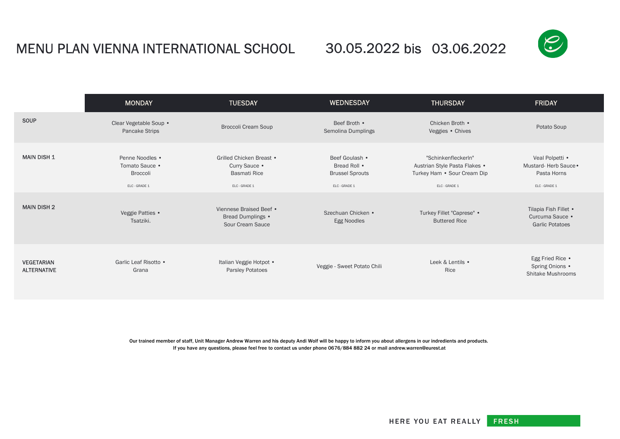## MENU PLAN VIENNA INTERNATIONAL SCHOOL 30.05.2022 bis 03.06.2022



|                                         | <b>MONDAY</b>                                                  | <b>TUESDAY</b>                                                                    | <b>WEDNESDAY</b>                                                          | <b>THURSDAY</b>                                                                                      | <b>FRIDAY</b>                                                           |
|-----------------------------------------|----------------------------------------------------------------|-----------------------------------------------------------------------------------|---------------------------------------------------------------------------|------------------------------------------------------------------------------------------------------|-------------------------------------------------------------------------|
| <b>SOUP</b>                             | Clear Vegetable Soup •<br><b>Pancake Strips</b>                | <b>Broccoli Cream Soup</b>                                                        | Beef Broth •<br>Semolina Dumplings                                        | Chicken Broth •<br>Veggies . Chives                                                                  | Potato Soup                                                             |
| <b>MAIN DISH 1</b>                      | Penne Noodles •<br>Tomato Sauce •<br>Broccoli<br>ELC - GRADE 1 | Grilled Chicken Breast •<br>Curry Sauce •<br><b>Basmati Rice</b><br>ELC - GRADE 1 | Beef Goulash •<br>Bread Roll •<br><b>Brussel Sprouts</b><br>ELC - GRADE 1 | "SchinkenfleckerIn"<br>Austrian Style Pasta Flakes .<br>Turkey Ham • Sour Cream Dip<br>ELC - GRADE 1 | Veal Polpetti •<br>Mustard-Herb Sauce •<br>Pasta Horns<br>ELC - GRADE 1 |
| <b>MAIN DISH 2</b>                      | Veggie Patties •<br>Tsatziki.                                  | Viennese Braised Beef •<br>Bread Dumplings •<br>Sour Cream Sauce                  | Szechuan Chicken •<br><b>Egg Noodles</b>                                  | Turkey Fillet "Caprese" •<br><b>Buttered Rice</b>                                                    | Tilapia Fish Fillet •<br>Curcuma Sauce •<br><b>Garlic Potatoes</b>      |
| <b>VEGETARIAN</b><br><b>ALTERNATIVE</b> | Garlic Leaf Risotto •<br>Grana                                 | Italian Veggie Hotpot .<br><b>Parsley Potatoes</b>                                | Veggie - Sweet Potato Chili                                               | Leek & Lentils •<br>Rice                                                                             | Egg Fried Rice .<br>Spring Onions •<br>Shitake Mushrooms                |

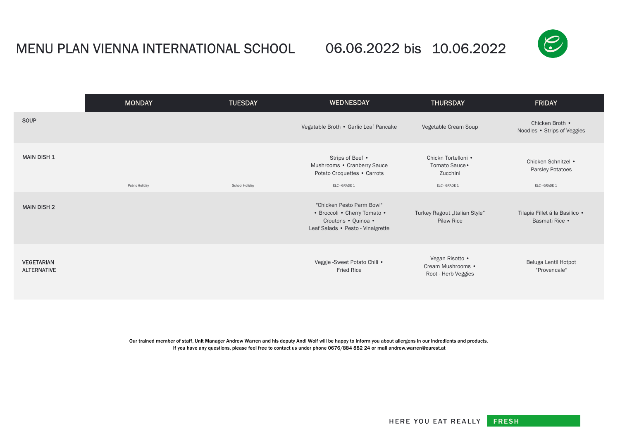## MENU PLAN VIENNA INTERNATIONAL SCHOOL 06.06.2022 bis  $10.06.2022$

06.06.2022 bis 10.06.2022



|                                         | <b>MONDAY</b>  | <b>TUESDAY</b> | <b>WEDNESDAY</b>                                                                                                      | <b>THURSDAY</b>                                                    | <b>FRIDAY</b>                                            |
|-----------------------------------------|----------------|----------------|-----------------------------------------------------------------------------------------------------------------------|--------------------------------------------------------------------|----------------------------------------------------------|
| SOUP                                    |                |                | Vegatable Broth • Garlic Leaf Pancake                                                                                 | Vegetable Cream Soup                                               | Chicken Broth .<br>Noodles . Strips of Veggies           |
| <b>MAIN DISH 1</b>                      | Public Holiday | School Holiday | Strips of Beef •<br>Mushrooms • Cranberry Sauce<br>Potato Croquettes • Carrots<br>ELC - GRADE 1                       | Chickn Tortelloni .<br>Tomato Sauce •<br>Zucchini<br>ELC - GRADE 1 | Chicken Schnitzel .<br>Parsley Potatoes<br>ELC - GRADE 1 |
| <b>MAIN DISH 2</b>                      |                |                | "Chicken Pesto Parm Bowl"<br>• Broccoli • Cherry Tomato •<br>Croutons • Quinoa •<br>Leaf Salads • Pesto - Vinaigrette | Turkey Ragout "Italian Style"<br>Pilaw Rice                        | Tilapia Fillet á la Basilico ·<br>Basmati Rice •         |
| <b>VEGETARIAN</b><br><b>ALTERNATIVE</b> |                |                | Veggie - Sweet Potato Chili .<br><b>Fried Rice</b>                                                                    | Vegan Risotto .<br>Cream Mushrooms .<br>Root - Herb Veggies        | Beluga Lentil Hotpot<br>"Provencale"                     |



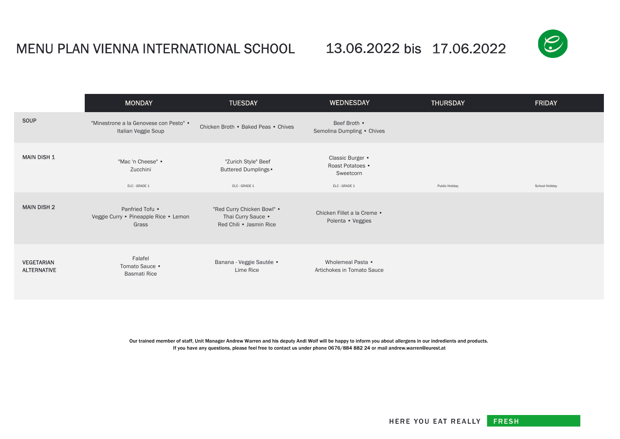## MENU PLAN VIENNA INTERNATIONAL SCHOOL  $\qquad$  13.06.2022 bis 17.06.2022

13.06.2022 bis 17.06.2022



|                                         | <b>MONDAY</b>                                                     | <b>TUESDAY</b>                                                              | <b>WEDNESDAY</b>                                                   | <b>THURSDAY</b> | <b>FRIDAY</b>  |
|-----------------------------------------|-------------------------------------------------------------------|-----------------------------------------------------------------------------|--------------------------------------------------------------------|-----------------|----------------|
| <b>SOUP</b>                             | "Minestrone a la Genovese con Pesto" .<br>Italian Veggie Soup     | Chicken Broth • Baked Peas • Chives                                         | Beef Broth •<br>Semolina Dumpling . Chives                         |                 |                |
| <b>MAIN DISH 1</b>                      | "Mac 'n Cheese" •<br>Zucchini<br>ELC - GRADE 1                    | "Zurich Style" Beef<br>Buttered Dumplings .<br>ELC - GRADE 1                | Classic Burger •<br>Roast Potatoes •<br>Sweetcorn<br>ELC - GRADE 1 | Public Holiday  | School Holiday |
| <b>MAIN DISH 2</b>                      | Panfried Tofu •<br>Veggie Curry · Pineapple Rice · Lemon<br>Grass | "Red Curry Chicken Bowl" .<br>Thai Curry Sauce .<br>Red Chili • Jasmin Rice | Chicken Fillet a la Creme .<br>Polenta • Veggies                   |                 |                |
| <b>VEGETARIAN</b><br><b>ALTERNATIVE</b> | Falafel<br>Tomato Sauce •<br><b>Basmati Rice</b>                  | Banana - Veggie Sautée ·<br>Lime Rice                                       | Wholemeal Pasta •<br>Artichokes in Tomato Sauce                    |                 |                |